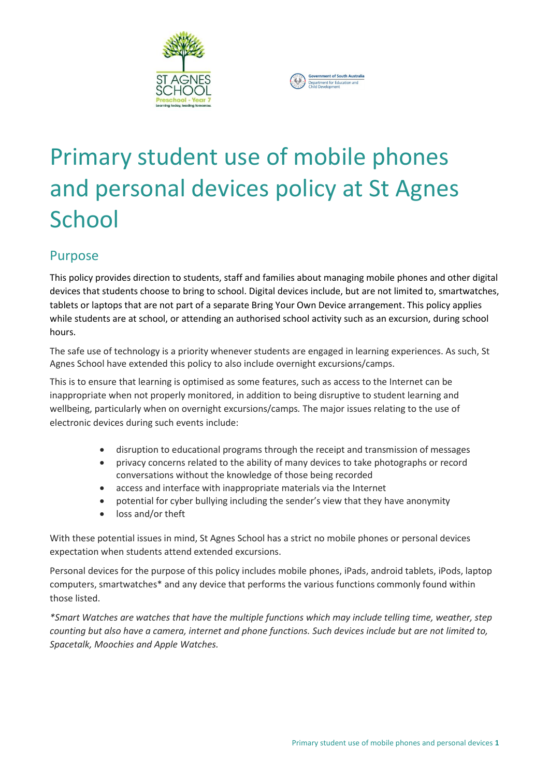



# Primary student use of mobile phones and personal devices policy at St Agnes **School**

# Purpose

This policy provides direction to students, staff and families about managing mobile phones and other digital devices that students choose to bring to school. Digital devices include, but are not limited to, smartwatches, tablets or laptops that are not part of a separate Bring Your Own Device arrangement. This policy applies while students are at school, or attending an authorised school activity such as an excursion, during school hours.

The safe use of technology is a priority whenever students are engaged in learning experiences. As such, St Agnes School have extended this policy to also include overnight excursions/camps.

This is to ensure that learning is optimised as some features, such as access to the Internet can be inappropriate when not properly monitored, in addition to being disruptive to student learning and wellbeing, particularly when on overnight excursions/camps*.* The major issues relating to the use of electronic devices during such events include:

- disruption to educational programs through the receipt and transmission of messages
- privacy concerns related to the ability of many devices to take photographs or record conversations without the knowledge of those being recorded
- access and interface with inappropriate materials via the Internet
- potential for cyber bullying including the sender's view that they have anonymity
- loss and/or theft

With these potential issues in mind, St Agnes School has a strict no mobile phones or personal devices expectation when students attend extended excursions.

Personal devices for the purpose of this policy includes mobile phones, iPads, android tablets, iPods, laptop computers, smartwatches\* and any device that performs the various functions commonly found within those listed.

*\*Smart Watches are watches that have the multiple functions which may include telling time, weather, step counting but also have a camera, internet and phone functions. Such devices include but are not limited to, Spacetalk, Moochies and Apple Watches.*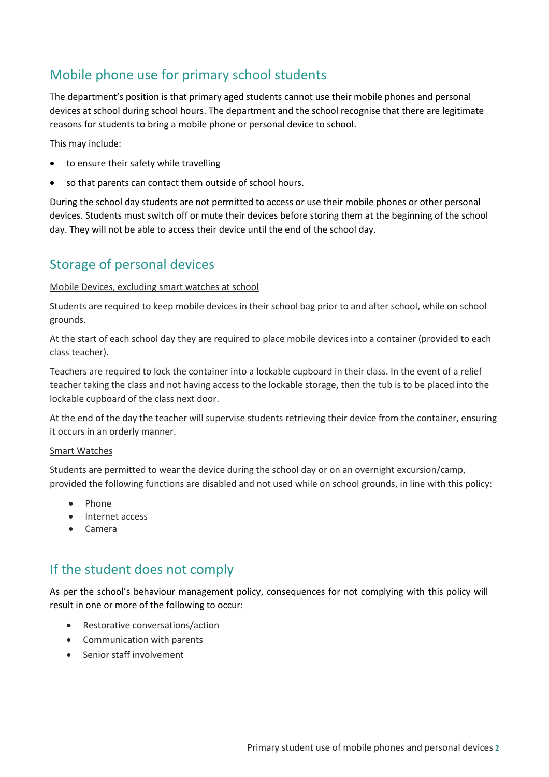# Mobile phone use for primary school students

The department's position is that primary aged students cannot use their mobile phones and personal devices at school during school hours. The department and the school recognise that there are legitimate reasons for students to bring a mobile phone or personal device to school.

This may include:

- to ensure their safety while travelling
- so that parents can contact them outside of school hours.

During the school day students are not permitted to access or use their mobile phones or other personal devices. Students must switch off or mute their devices before storing them at the beginning of the school day. They will not be able to access their device until the end of the school day.

## Storage of personal devices

### Mobile Devices, excluding smart watches at school

Students are required to keep mobile devices in their school bag prior to and after school, while on school grounds.

At the start of each school day they are required to place mobile devices into a container (provided to each class teacher).

Teachers are required to lock the container into a lockable cupboard in their class. In the event of a relief teacher taking the class and not having access to the lockable storage, then the tub is to be placed into the lockable cupboard of the class next door.

At the end of the day the teacher will supervise students retrieving their device from the container, ensuring it occurs in an orderly manner.

### Smart Watches

Students are permitted to wear the device during the school day or on an overnight excursion/camp, provided the following functions are disabled and not used while on school grounds, in line with this policy:

- $\bullet$  Phone
- Internet access
- Camera

# If the student does not comply

As per the school's behaviour management policy, consequences for not complying with this policy will result in one or more of the following to occur:

- Restorative conversations/action
- Communication with parents
- Senior staff involvement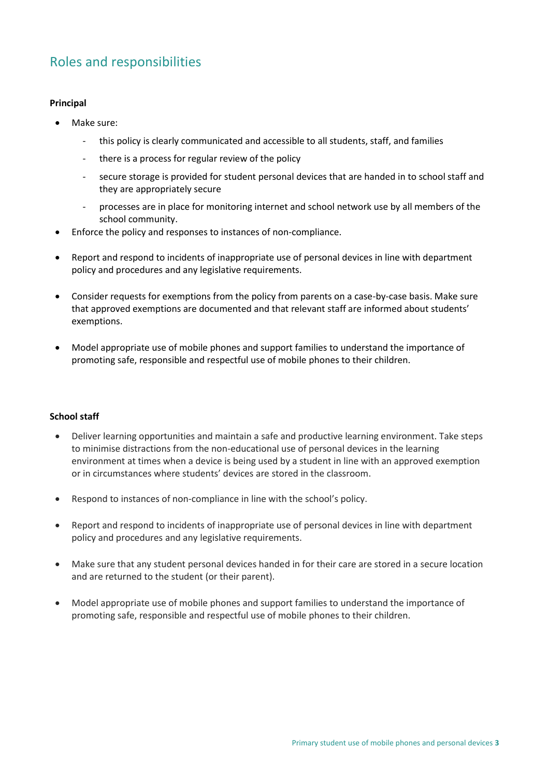# Roles and responsibilities

### **Principal**

- Make sure:
	- this policy is clearly communicated and accessible to all students, staff, and families
	- there is a process for regular review of the policy
	- secure storage is provided for student personal devices that are handed in to school staff and they are appropriately secure
	- processes are in place for monitoring internet and school network use by all members of the school community.
- Enforce the policy and responses to instances of non-compliance.
- Report and respond to incidents of inappropriate use of personal devices in line with department policy and procedures and any legislative requirements.
- Consider requests for exemptions from the policy from parents on a case-by-case basis. Make sure that approved exemptions are documented and that relevant staff are informed about students' exemptions.
- Model appropriate use of mobile phones and support families to understand the importance of promoting safe, responsible and respectful use of mobile phones to their children.

### **School staff**

- Deliver learning opportunities and maintain a safe and productive learning environment. Take steps to minimise distractions from the non-educational use of personal devices in the learning environment at times when a device is being used by a student in line with an approved exemption or in circumstances where students' devices are stored in the classroom.
- Respond to instances of non-compliance in line with the school's policy.
- Report and respond to incidents of inappropriate use of personal devices in line with department policy and procedures and any legislative requirements.
- Make sure that any student personal devices handed in for their care are stored in a secure location and are returned to the student (or their parent).
- Model appropriate use of mobile phones and support families to understand the importance of promoting safe, responsible and respectful use of mobile phones to their children.